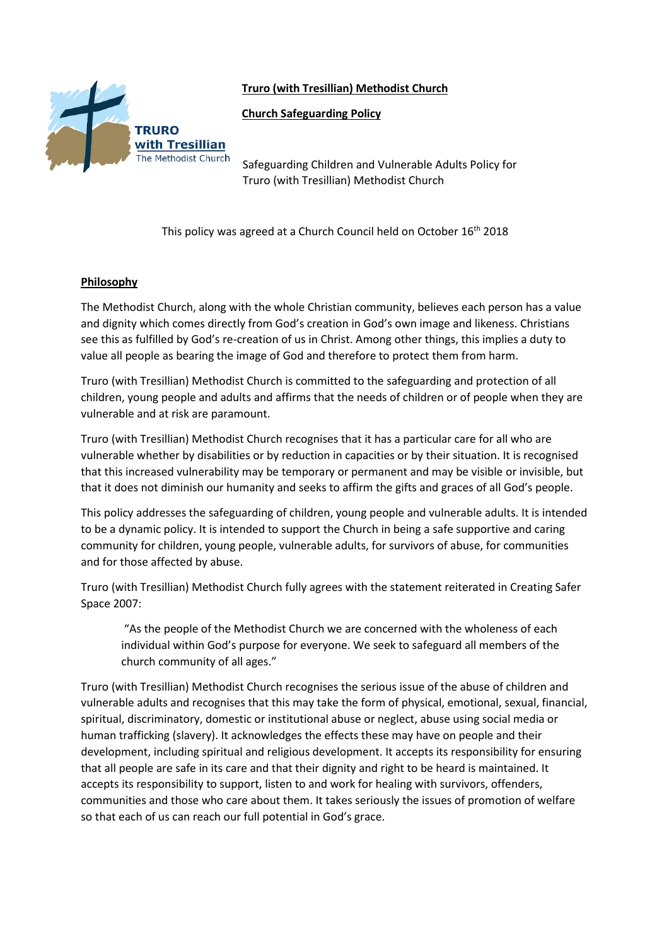**Truro (with Tresillian) Methodist Church**



**TRURO** with Tresillian The Methodist Church

Safeguarding Children and Vulnerable Adults Policy for Truro (with Tresillian) Methodist Church

This policy was agreed at a Church Council held on October 16<sup>th</sup> 2018

### **Philosophy**

The Methodist Church, along with the whole Christian community, believes each person has a value and dignity which comes directly from God's creation in God's own image and likeness. Christians see this as fulfilled by God's re-creation of us in Christ. Among other things, this implies a duty to value all people as bearing the image of God and therefore to protect them from harm.

Truro (with Tresillian) Methodist Church is committed to the safeguarding and protection of all children, young people and adults and affirms that the needs of children or of people when they are vulnerable and at risk are paramount.

Truro (with Tresillian) Methodist Church recognises that it has a particular care for all who are vulnerable whether by disabilities or by reduction in capacities or by their situation. It is recognised that this increased vulnerability may be temporary or permanent and may be visible or invisible, but that it does not diminish our humanity and seeks to affirm the gifts and graces of all God's people.

This policy addresses the safeguarding of children, young people and vulnerable adults. It is intended to be a dynamic policy. It is intended to support the Church in being a safe supportive and caring community for children, young people, vulnerable adults, for survivors of abuse, for communities and for those affected by abuse.

Truro (with Tresillian) Methodist Church fully agrees with the statement reiterated in Creating Safer Space 2007:

"As the people of the Methodist Church we are concerned with the wholeness of each individual within God's purpose for everyone. We seek to safeguard all members of the church community of all ages."

Truro (with Tresillian) Methodist Church recognises the serious issue of the abuse of children and vulnerable adults and recognises that this may take the form of physical, emotional, sexual, financial, spiritual, discriminatory, domestic or institutional abuse or neglect, abuse using social media or human trafficking (slavery). It acknowledges the effects these may have on people and their development, including spiritual and religious development. It accepts its responsibility for ensuring that all people are safe in its care and that their dignity and right to be heard is maintained. It accepts its responsibility to support, listen to and work for healing with survivors, offenders, communities and those who care about them. It takes seriously the issues of promotion of welfare so that each of us can reach our full potential in God's grace.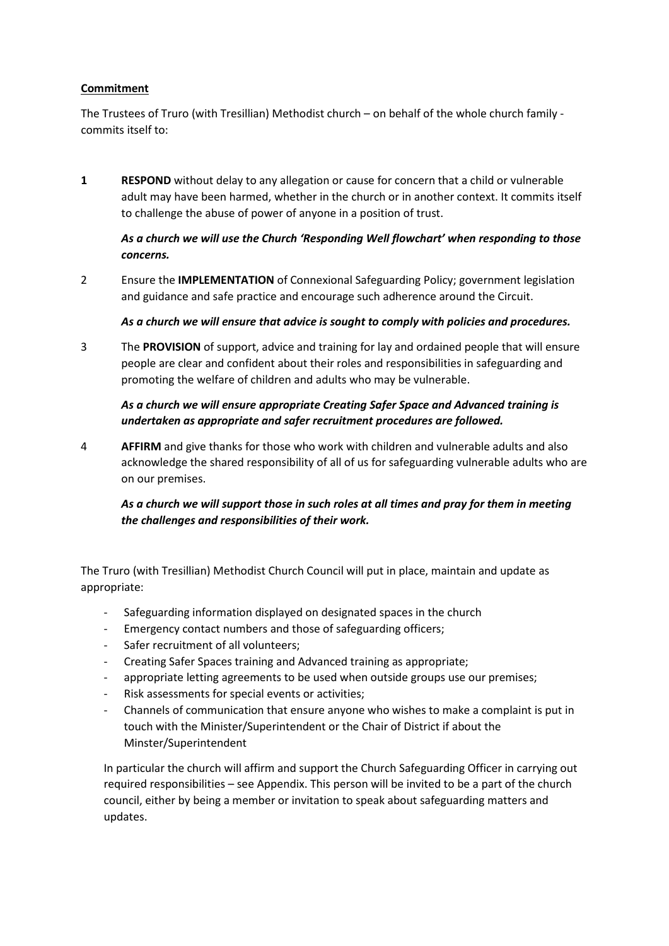### **Commitment**

The Trustees of Truro (with Tresillian) Methodist church – on behalf of the whole church family commits itself to:

**1 RESPOND** without delay to any allegation or cause for concern that a child or vulnerable adult may have been harmed, whether in the church or in another context. It commits itself to challenge the abuse of power of anyone in a position of trust.

## *As a church we will use the Church 'Responding Well flowchart' when responding to those concerns.*

2 Ensure the **IMPLEMENTATION** of Connexional Safeguarding Policy; government legislation and guidance and safe practice and encourage such adherence around the Circuit.

### *As a church we will ensure that advice is sought to comply with policies and procedures.*

3 The **PROVISION** of support, advice and training for lay and ordained people that will ensure people are clear and confident about their roles and responsibilities in safeguarding and promoting the welfare of children and adults who may be vulnerable.

# *As a church we will ensure appropriate Creating Safer Space and Advanced training is undertaken as appropriate and safer recruitment procedures are followed.*

4 **AFFIRM** and give thanks for those who work with children and vulnerable adults and also acknowledge the shared responsibility of all of us for safeguarding vulnerable adults who are on our premises.

# *As a church we will support those in such roles at all times and pray for them in meeting the challenges and responsibilities of their work.*

The Truro (with Tresillian) Methodist Church Council will put in place, maintain and update as appropriate:

- Safeguarding information displayed on designated spaces in the church
- Emergency contact numbers and those of safeguarding officers;
- Safer recruitment of all volunteers;
- Creating Safer Spaces training and Advanced training as appropriate;
- appropriate letting agreements to be used when outside groups use our premises;
- Risk assessments for special events or activities;
- Channels of communication that ensure anyone who wishes to make a complaint is put in touch with the Minister/Superintendent or the Chair of District if about the Minster/Superintendent

In particular the church will affirm and support the Church Safeguarding Officer in carrying out required responsibilities – see Appendix. This person will be invited to be a part of the church council, either by being a member or invitation to speak about safeguarding matters and updates.